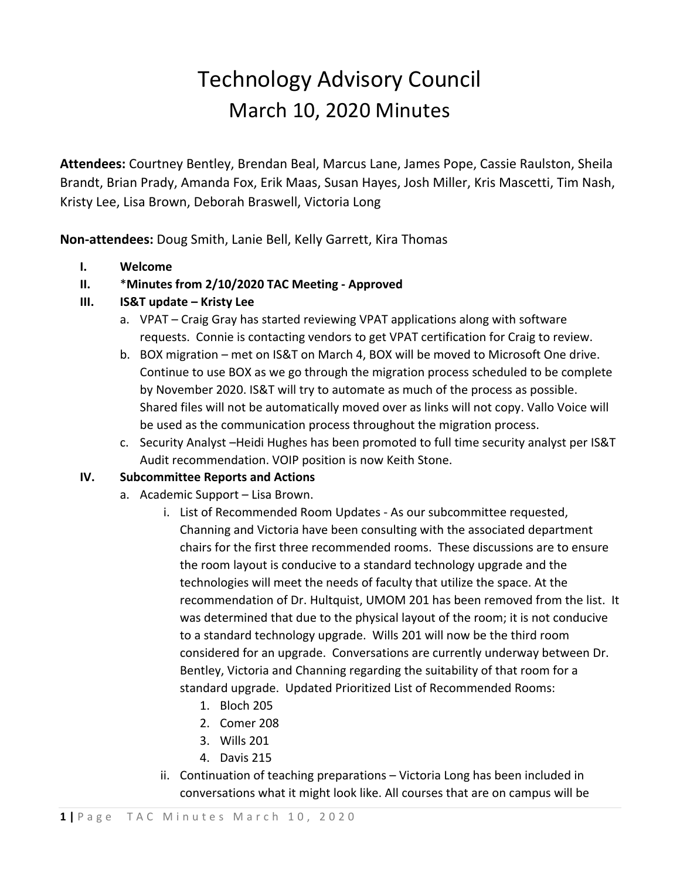## Technology Advisory Council March 10, 2020 Minutes

**Attendees:** Courtney Bentley, Brendan Beal, Marcus Lane, James Pope, Cassie Raulston, Sheila Brandt, Brian Prady, Amanda Fox, Erik Maas, Susan Hayes, Josh Miller, Kris Mascetti, Tim Nash, Kristy Lee, Lisa Brown, Deborah Braswell, Victoria Long

**Non-attendees:** Doug Smith, Lanie Bell, Kelly Garrett, Kira Thomas

**I. Welcome**

## **II.** \***Minutes from 2/10/2020 TAC Meeting - Approved**

## **III. IS&T update – Kristy Lee**

- a. VPAT Craig Gray has started reviewing VPAT applications along with software requests. Connie is contacting vendors to get VPAT certification for Craig to review.
- b. BOX migration met on IS&T on March 4, BOX will be moved to Microsoft One drive. Continue to use BOX as we go through the migration process scheduled to be complete by November 2020. IS&T will try to automate as much of the process as possible. Shared files will not be automatically moved over as links will not copy. Vallo Voice will be used as the communication process throughout the migration process.
- c. Security Analyst –Heidi Hughes has been promoted to full time security analyst per IS&T Audit recommendation. VOIP position is now Keith Stone.

## **IV. Subcommittee Reports and Actions**

- a. Academic Support Lisa Brown.
	- i. List of Recommended Room Updates As our subcommittee requested, Channing and Victoria have been consulting with the associated department chairs for the first three recommended rooms. These discussions are to ensure the room layout is conducive to a standard technology upgrade and the technologies will meet the needs of faculty that utilize the space. At the recommendation of Dr. Hultquist, UMOM 201 has been removed from the list. It was determined that due to the physical layout of the room; it is not conducive to a standard technology upgrade. Wills 201 will now be the third room considered for an upgrade. Conversations are currently underway between Dr. Bentley, Victoria and Channing regarding the suitability of that room for a standard upgrade. Updated Prioritized List of Recommended Rooms:
		- 1. Bloch 205
		- 2. Comer 208
		- 3. Wills 201
		- 4. Davis 215
	- ii. Continuation of teaching preparations Victoria Long has been included in conversations what it might look like. All courses that are on campus will be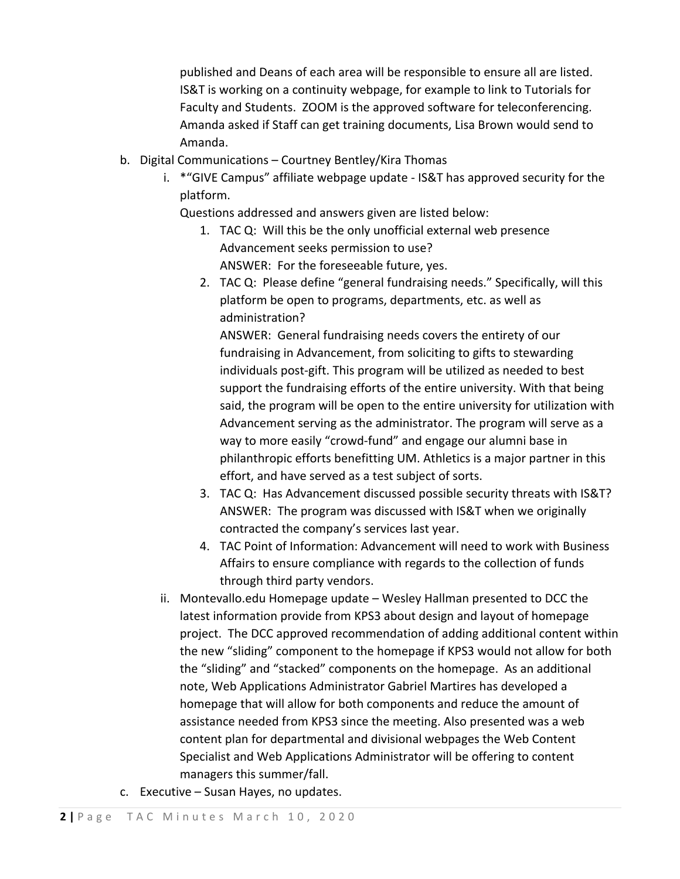published and Deans of each area will be responsible to ensure all are listed. IS&T is working on a continuity webpage, for example to link to Tutorials for Faculty and Students. ZOOM is the approved software for teleconferencing. Amanda asked if Staff can get training documents, Lisa Brown would send to Amanda.

- b. Digital Communications Courtney Bentley/Kira Thomas
	- i. \*"GIVE Campus" affiliate webpage update IS&T has approved security for the platform.

Questions addressed and answers given are listed below:

- 1. TAC Q: Will this be the only unofficial external web presence Advancement seeks permission to use? ANSWER: For the foreseeable future, yes.
- 2. TAC Q: Please define "general fundraising needs." Specifically, will this platform be open to programs, departments, etc. as well as administration?

ANSWER: General fundraising needs covers the entirety of our fundraising in Advancement, from soliciting to gifts to stewarding individuals post-gift. This program will be utilized as needed to best support the fundraising efforts of the entire university. With that being said, the program will be open to the entire university for utilization with Advancement serving as the administrator. The program will serve as a way to more easily "crowd-fund" and engage our alumni base in philanthropic efforts benefitting UM. Athletics is a major partner in this effort, and have served as a test subject of sorts.

- 3. TAC Q: Has Advancement discussed possible security threats with IS&T? ANSWER: The program was discussed with IS&T when we originally contracted the company's services last year.
- 4. TAC Point of Information: Advancement will need to work with Business Affairs to ensure compliance with regards to the collection of funds through third party vendors.
- ii. Montevallo.edu Homepage update Wesley Hallman presented to DCC the latest information provide from KPS3 about design and layout of homepage project. The DCC approved recommendation of adding additional content within the new "sliding" component to the homepage if KPS3 would not allow for both the "sliding" and "stacked" components on the homepage. As an additional note, Web Applications Administrator Gabriel Martires has developed a homepage that will allow for both components and reduce the amount of assistance needed from KPS3 since the meeting. Also presented was a web content plan for departmental and divisional webpages the Web Content Specialist and Web Applications Administrator will be offering to content managers this summer/fall.
- c. Executive Susan Hayes, no updates.